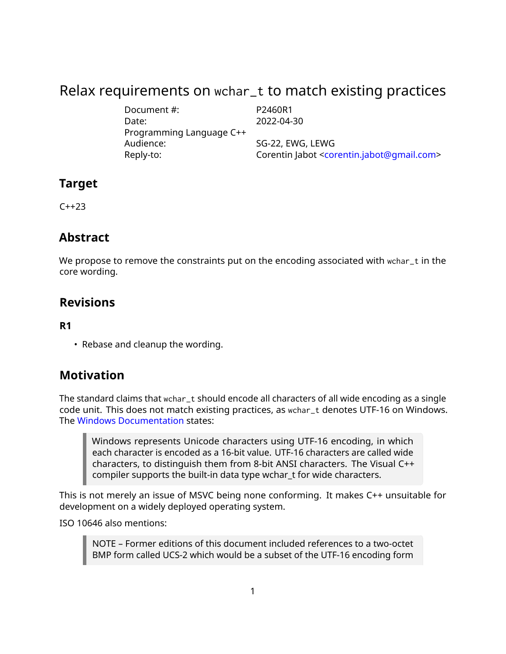# Relax requirements on wchar\_t to match existing practices

Document #: P2460R1 Date: 2022-04-30 Programming Language C++ Audience: SG-22, EWG, LEWG Reply-to: Corentin Jabot [<corentin.jabot@gmail.com>](mailto:corentin.jabot@gmail.com)

### **Target**

 $C++23$ 

### **Abstract**

We propose to remove the constraints put on the encoding associated with wchar\_t in the core wording.

### **Revisions**

#### **R1**

• Rebase and cleanup the wording.

## **Motivation**

The standard claims that wchar\_t should encode all characters of all wide encoding as a single code unit. This does not match existing practices, as wchar\_t denotes UTF-16 on Windows. The [Windows Documentation](https://docs.microsoft.com/en-us/windows/win32/learnwin32/working-with-strings) states:

Windows represents Unicode characters using UTF-16 encoding, in which each character is encoded as a 16-bit value. UTF-16 characters are called wide characters, to distinguish them from 8-bit ANSI characters. The Visual C++ compiler supports the built-in data type wchar\_t for wide characters.

This is not merely an issue of MSVC being none conforming. It makes C++ unsuitable for development on a widely deployed operating system.

ISO 10646 also mentions:

NOTE – Former editions of this document included references to a two-octet BMP form called UCS-2 which would be a subset of the UTF-16 encoding form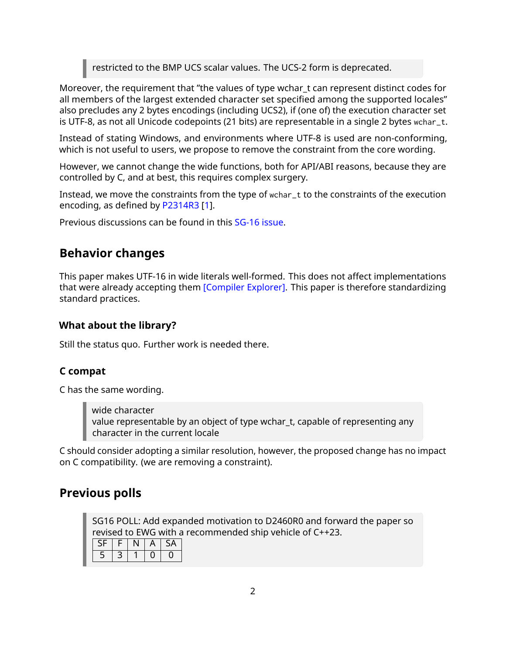restricted to the BMP UCS scalar values. The UCS-2 form is deprecated.

Moreover, the requirement that "the values of type wchar\_t can represent distinct codes for all members of the largest extended character set specified among the supported locales" also precludes any 2 bytes encodings (including UCS2), if (one of) the execution character set is UTF-8, as not all Unicode codepoints (21 bits) are representable in a single 2 bytes wchar\_t.

Instead of stating Windows, and environments where UTF-8 is used are non-conforming, which is not useful to users, we propose to remove the constraint from the core wording.

However, we cannot change the wide functions, both for API/ABI reasons, because they are controlled by C, and at best, this requires complex surgery.

Instead, we move the constraints from the type of wchar\_t to the constraints of the execution encoding, as defined by [P2314R3](https://wg21.link/P2314R3) [\[1\]](#page-2-0).

Previous discussions can be found in this [SG-16 issue.](https://github.com/sg16-unicode/sg16/issues/9)

### **Behavior changes**

This paper makes UTF-16 in wide literals well-formed. This does not affect implementations that were already accepting them [\[Compiler Explorer\].](https://godbolt.org/z/cPe69bshM) This paper is therefore standardizing standard practices.

#### **What about the library?**

Still the status quo. Further work is needed there.

#### **C compat**

C has the same wording.

wide character value representable by an object of type wchar\_t, capable of representing any character in the current locale

C should consider adopting a similar resolution, however, the proposed change has no impact on C compatibility. (we are removing a constraint).

### **Previous polls**

SG16 POLL: Add expanded motivation to D2460R0 and forward the paper so revised to EWG with a recommended ship vehicle of C++23.